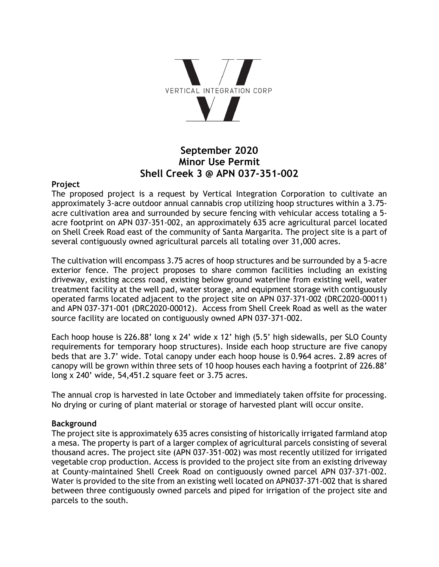

# **September 2020 Minor Use Permit Shell Creek 3 @ APN 037-351-002**

### **Project**

The proposed project is a request by Vertical Integration Corporation to cultivate an approximately 3-acre outdoor annual cannabis crop utilizing hoop structures within a 3.75 acre cultivation area and surrounded by secure fencing with vehicular access totaling a 5 acre footprint on APN 037-351-002, an approximately 635 acre agricultural parcel located on Shell Creek Road east of the community of Santa Margarita. The project site is a part of several contiguously owned agricultural parcels all totaling over 31,000 acres.

The cultivation will encompass 3.75 acres of hoop structures and be surrounded by a 5-acre exterior fence. The project proposes to share common facilities including an existing driveway, existing access road, existing below ground waterline from existing well, water treatment facility at the well pad, water storage, and equipment storage with contiguously operated farms located adjacent to the project site on APN 037-371-002 (DRC2020-00011) and APN 037-371-001 (DRC2020-00012). Access from Shell Creek Road as well as the water source facility are located on contiguously owned APN 037-371-002.

Each hoop house is 226.88' long x 24' wide x 12' high (5.5' high sidewalls, per SLO County requirements for temporary hoop structures). Inside each hoop structure are five canopy beds that are 3.7' wide. Total canopy under each hoop house is 0.964 acres. 2.89 acres of canopy will be grown within three sets of 10 hoop houses each having a footprint of 226.88' long x 240' wide, 54,451.2 square feet or 3.75 acres.

The annual crop is harvested in late October and immediately taken offsite for processing. No drying or curing of plant material or storage of harvested plant will occur onsite.

### **Background**

The project site is approximately 635 acres consisting of historically irrigated farmland atop a mesa. The property is part of a larger complex of agricultural parcels consisting of several thousand acres. The project site (APN 037-351-002) was most recently utilized for irrigated vegetable crop production. Access is provided to the project site from an existing driveway at County-maintained Shell Creek Road on contiguously owned parcel APN 037-371-002. Water is provided to the site from an existing well located on APN037-371-002 that is shared between three contiguously owned parcels and piped for irrigation of the project site and parcels to the south.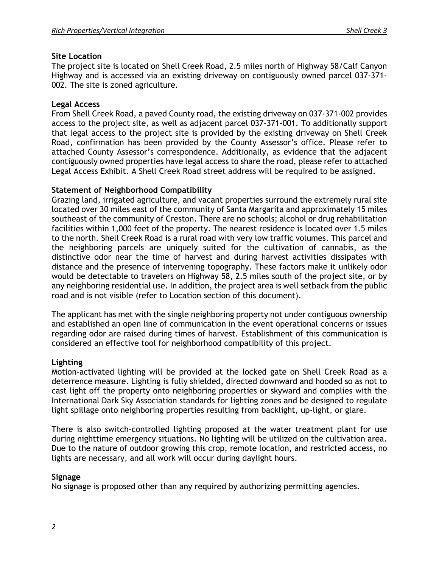### **Site Location**

The project site is located on Shell Creek Road, 2.5 miles north of Highway 58/Calf Canyon Highway and is accessed via an existing driveway on contiguously owned parcel 037-371- 002. The site is zoned agriculture.

### **Legal Access**

From Shell Creek Road, a paved County road, the existing driveway on 037-371-002 provides access to the project site, as well as adjacent parcel 037-371-001. To additionally support that legal access to the project site is provided by the existing driveway on Shell Creek Road, confirmation has been provided by the County Assessor's office. Please refer to attached County Assessor's correspondence. Additionally, as evidence that the adjacent contiguously owned properties have legal access to share the road, please refer to attached Legal Access Exhibit. A Shell Creek Road street address will be required to be assigned.

### **Statement of Neighborhood Compatibility**

Grazing land, irrigated agriculture, and vacant properties surround the extremely rural site located over 30 miles east of the community of Santa Margarita and approximately 15 miles southeast of the community of Creston. There are no schools; alcohol or drug rehabilitation facilities within 1,000 feet of the property. The nearest residence is located over 1.5 miles to the north. Shell Creek Road is a rural road with very low traffic volumes. This parcel and the neighboring parcels are uniquely suited for the cultivation of cannabis, as the distinctive odor near the time of harvest and during harvest activities dissipates with distance and the presence of intervening topography. These factors make it unlikely odor would be detectable to travelers on Highway 58, 2.5 miles south of the project site, or by any neighboring residential use. In addition, the project area is well setback from the public road and is not visible (refer to Location section of this document).

The applicant has met with the single neighboring property not under contiguous ownership and established an open line of communication in the event operational concerns or issues regarding odor are raised during times of harvest. Establishment of this communication is considered an effective tool for neighborhood compatibility of this project.

### **Lighting**

Motion-activated lighting will be provided at the locked gate on Shell Creek Road as a deterrence measure. Lighting is fully shielded, directed downward and hooded so as not to cast light off the property onto neighboring properties or skyward and complies with the International Dark Sky Association standards for lighting zones and be designed to regulate light spillage onto neighboring properties resulting from backlight, up-light, or glare.

There is also switch-controlled lighting proposed at the water treatment plant for use during nighttime emergency situations. No lighting will be utilized on the cultivation area. Due to the nature of outdoor growing this crop, remote location, and restricted access, no lights are necessary, and all work will occur during daylight hours.

### **Signage**

No signage is proposed other than any required by authorizing permitting agencies.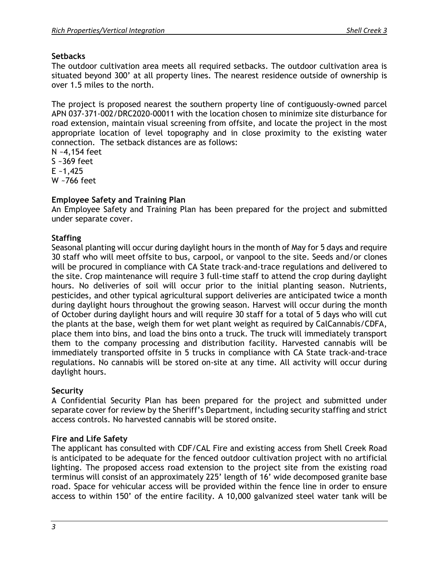## **Setbacks**

The outdoor cultivation area meets all required setbacks. The outdoor cultivation area is situated beyond 300' at all property lines. The nearest residence outside of ownership is over 1.5 miles to the north.

The project is proposed nearest the southern property line of contiguously-owned parcel APN 037-371-002/DRC2020-00011 with the location chosen to minimize site disturbance for road extension, maintain visual screening from offsite, and locate the project in the most appropriate location of level topography and in close proximity to the existing water connection. The setback distances are as follows:

N ~4,154 feet S ~369 feet  $E - 1,425$ W ~766 feet

## **Employee Safety and Training Plan**

An Employee Safety and Training Plan has been prepared for the project and submitted under separate cover.

## **Staffing**

Seasonal planting will occur during daylight hours in the month of May for 5 days and require 30 staff who will meet offsite to bus, carpool, or vanpool to the site. Seeds and/or clones will be procured in compliance with CA State track-and-trace regulations and delivered to the site. Crop maintenance will require 3 full-time staff to attend the crop during daylight hours. No deliveries of soil will occur prior to the initial planting season. Nutrients, pesticides, and other typical agricultural support deliveries are anticipated twice a month during daylight hours throughout the growing season. Harvest will occur during the month of October during daylight hours and will require 30 staff for a total of 5 days who will cut the plants at the base, weigh them for wet plant weight as required by CalCannabis/CDFA, place them into bins, and load the bins onto a truck. The truck will immediately transport them to the company processing and distribution facility. Harvested cannabis will be immediately transported offsite in 5 trucks in compliance with CA State track-and-trace regulations. No cannabis will be stored on-site at any time. All activity will occur during daylight hours.

## **Security**

A Confidential Security Plan has been prepared for the project and submitted under separate cover for review by the Sheriff's Department, including security staffing and strict access controls. No harvested cannabis will be stored onsite.

## **Fire and Life Safety**

The applicant has consulted with CDF/CAL Fire and existing access from Shell Creek Road is anticipated to be adequate for the fenced outdoor cultivation project with no artificial lighting. The proposed access road extension to the project site from the existing road terminus will consist of an approximately 225' length of 16' wide decomposed granite base road. Space for vehicular access will be provided within the fence line in order to ensure access to within 150' of the entire facility. A 10,000 galvanized steel water tank will be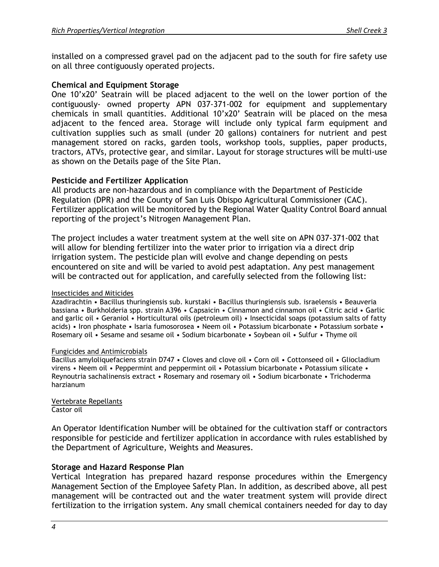installed on a compressed gravel pad on the adjacent pad to the south for fire safety use on all three contiguously operated projects.

### **Chemical and Equipment Storage**

One 10'x20' Seatrain will be placed adjacent to the well on the lower portion of the contiguously- owned property APN 037-371-002 for equipment and supplementary chemicals in small quantities. Additional 10'x20' Seatrain will be placed on the mesa adjacent to the fenced area. Storage will include only typical farm equipment and cultivation supplies such as small (under 20 gallons) containers for nutrient and pest management stored on racks, garden tools, workshop tools, supplies, paper products, tractors, ATVs, protective gear, and similar. Layout for storage structures will be multi-use as shown on the Details page of the Site Plan.

### **Pesticide and Fertilizer Application**

All products are non-hazardous and in compliance with the Department of Pesticide Regulation (DPR) and the County of San Luis Obispo Agricultural Commissioner (CAC). Fertilizer application will be monitored by the Regional Water Quality Control Board annual reporting of the project's Nitrogen Management Plan.

The project includes a water treatment system at the well site on APN 037-371-002 that will allow for blending fertilizer into the water prior to irrigation via a direct drip irrigation system. The pesticide plan will evolve and change depending on pests encountered on site and will be varied to avoid pest adaptation. Any pest management will be contracted out for application, and carefully selected from the following list:

### Insecticides and Miticides

Azadirachtin • Bacillus thuringiensis sub. kurstaki • Bacillus thuringiensis sub. israelensis • Beauveria bassiana • Burkholderia spp. strain A396 • Capsaicin • Cinnamon and cinnamon oil • Citric acid • Garlic and garlic oil • Geraniol • Horticultural oils (petroleum oil) • Insecticidal soaps (potassium salts of fatty acids) • Iron phosphate • Isaria fumosorosea • Neem oil • Potassium bicarbonate • Potassium sorbate • Rosemary oil • Sesame and sesame oil • Sodium bicarbonate • Soybean oil • Sulfur • Thyme oil

#### Fungicides and Antimicrobials

Bacillus amyloliquefaciens strain D747 • Cloves and clove oil • Corn oil • Cottonseed oil • Gliocladium virens • Neem oil • Peppermint and peppermint oil • Potassium bicarbonate • Potassium silicate • Reynoutria sachalinensis extract • Rosemary and rosemary oil • Sodium bicarbonate • Trichoderma harzianum

Vertebrate Repellants Castor oil

An Operator Identification Number will be obtained for the cultivation staff or contractors responsible for pesticide and fertilizer application in accordance with rules established by the Department of Agriculture, Weights and Measures.

### **Storage and Hazard Response Plan**

Vertical Integration has prepared hazard response procedures within the Emergency Management Section of the Employee Safety Plan. In addition, as described above, all pest management will be contracted out and the water treatment system will provide direct fertilization to the irrigation system. Any small chemical containers needed for day to day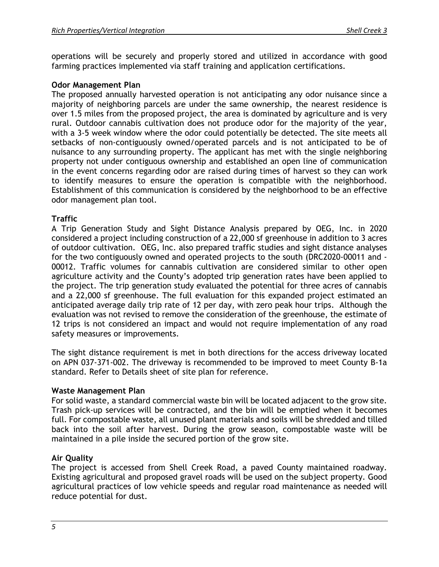operations will be securely and properly stored and utilized in accordance with good farming practices implemented via staff training and application certifications.

## **Odor Management Plan**

The proposed annually harvested operation is not anticipating any odor nuisance since a majority of neighboring parcels are under the same ownership, the nearest residence is over 1.5 miles from the proposed project, the area is dominated by agriculture and is very rural. Outdoor cannabis cultivation does not produce odor for the majority of the year, with a 3-5 week window where the odor could potentially be detected. The site meets all setbacks of non-contiguously owned/operated parcels and is not anticipated to be of nuisance to any surrounding property. The applicant has met with the single neighboring property not under contiguous ownership and established an open line of communication in the event concerns regarding odor are raised during times of harvest so they can work to identify measures to ensure the operation is compatible with the neighborhood. Establishment of this communication is considered by the neighborhood to be an effective odor management plan tool.

## **Traffic**

A Trip Generation Study and Sight Distance Analysis prepared by OEG, Inc. in 2020 considered a project including construction of a 22,000 sf greenhouse in addition to 3 acres of outdoor cultivation. OEG, Inc. also prepared traffic studies and sight distance analyses for the two contiguously owned and operated projects to the south (DRC2020-00011 and - 00012. Traffic volumes for cannabis cultivation are considered similar to other open agriculture activity and the County's adopted trip generation rates have been applied to the project. The trip generation study evaluated the potential for three acres of cannabis and a 22,000 sf greenhouse. The full evaluation for this expanded project estimated an anticipated average daily trip rate of 12 per day, with zero peak hour trips. Although the evaluation was not revised to remove the consideration of the greenhouse, the estimate of 12 trips is not considered an impact and would not require implementation of any road safety measures or improvements.

The sight distance requirement is met in both directions for the access driveway located on APN 037-371-002. The driveway is recommended to be improved to meet County B-1a standard. Refer to Details sheet of site plan for reference.

## **Waste Management Plan**

For solid waste, a standard commercial waste bin will be located adjacent to the grow site. Trash pick-up services will be contracted, and the bin will be emptied when it becomes full. For compostable waste, all unused plant materials and soils will be shredded and tilled back into the soil after harvest. During the grow season, compostable waste will be maintained in a pile inside the secured portion of the grow site.

## **Air Quality**

The project is accessed from Shell Creek Road, a paved County maintained roadway. Existing agricultural and proposed gravel roads will be used on the subject property. Good agricultural practices of low vehicle speeds and regular road maintenance as needed will reduce potential for dust.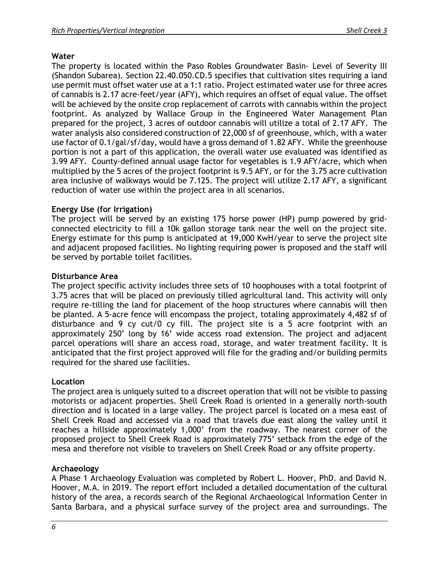## **Water**

The property is located within the Paso Robles Groundwater Basin- Level of Severity III (Shandon Subarea). Section 22.40.050.CD.5 specifies that cultivation sites requiring a land use permit must offset water use at a 1:1 ratio. Project estimated water use for three acres of cannabis is 2.17 acre-feet/year (AFY), which requires an offset of equal value. The offset will be achieved by the onsite crop replacement of carrots with cannabis within the project footprint. As analyzed by Wallace Group in the Engineered Water Management Plan prepared for the project, 3 acres of outdoor cannabis will utilize a total of 2.17 AFY. The water analysis also considered construction of 22,000 sf of greenhouse, which, with a water use factor of 0.1/gal/sf/day, would have a gross demand of 1.82 AFY. While the greenhouse portion is not a part of this application, the overall water use evaluated was identified as 3.99 AFY. County-defined annual usage factor for vegetables is 1.9 AFY/acre, which when multiplied by the 5 acres of the project footprint is 9.5 AFY, or for the 3.75 acre cultivation area inclusive of walkways would be 7.125. The project will utilize 2.17 AFY, a significant reduction of water use within the project area in all scenarios.

## **Energy Use (for Irrigation)**

The project will be served by an existing 175 horse power (HP) pump powered by gridconnected electricity to fill a 10k gallon storage tank near the well on the project site. Energy estimate for this pump is anticipated at 19,000 KwH/year to serve the project site and adjacent proposed facilities. No lighting requiring power is proposed and the staff will be served by portable toilet facilities.

## **Disturbance Area**

The project specific activity includes three sets of 10 hoophouses with a total footprint of 3.75 acres that will be placed on previously tilled agricultural land. This activity will only require re-tilling the land for placement of the hoop structures where cannabis will then be planted. A 5-acre fence will encompass the project, totaling approximately 4,482 sf of disturbance and 9 cy cut/0 cy fill. The project site is a 5 acre footprint with an approximately 250' long by 16' wide access road extension. The project and adjacent parcel operations will share an access road, storage, and water treatment facility. It is anticipated that the first project approved will file for the grading and/or building permits required for the shared use facilities.

## **Location**

The project area is uniquely suited to a discreet operation that will not be visible to passing motorists or adjacent properties. Shell Creek Road is oriented in a generally north-south direction and is located in a large valley. The project parcel is located on a mesa east of Shell Creek Road and accessed via a road that travels due east along the valley until it reaches a hillside approximately 1,000' from the roadway. The nearest corner of the proposed project to Shell Creek Road is approximately 775' setback from the edge of the mesa and therefore not visible to travelers on Shell Creek Road or any offsite property.

## **Archaeology**

A Phase 1 Archaeology Evaluation was completed by Robert L. Hoover, PhD. and David N. Hoover, M.A. in 2019. The report effort included a detailed documentation of the cultural history of the area, a records search of the Regional Archaeological Information Center in Santa Barbara, and a physical surface survey of the project area and surroundings. The